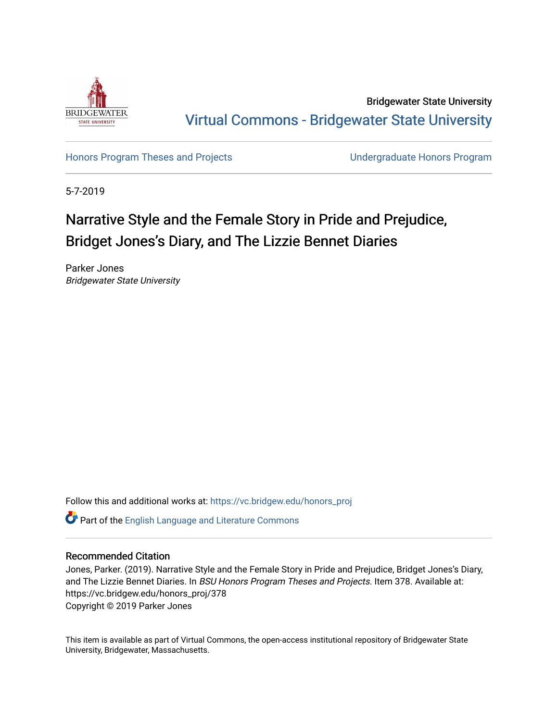

Bridgewater State University [Virtual Commons - Bridgewater State University](https://vc.bridgew.edu/) 

[Honors Program Theses and Projects](https://vc.bridgew.edu/honors_proj) [Undergraduate Honors Program](https://vc.bridgew.edu/honors) 

5-7-2019

# Narrative Style and the Female Story in Pride and Prejudice, Bridget Jones's Diary, and The Lizzie Bennet Diaries

Parker Jones Bridgewater State University

Follow this and additional works at: [https://vc.bridgew.edu/honors\\_proj](https://vc.bridgew.edu/honors_proj?utm_source=vc.bridgew.edu%2Fhonors_proj%2F378&utm_medium=PDF&utm_campaign=PDFCoverPages)

Part of the [English Language and Literature Commons](http://network.bepress.com/hgg/discipline/455?utm_source=vc.bridgew.edu%2Fhonors_proj%2F378&utm_medium=PDF&utm_campaign=PDFCoverPages)

## Recommended Citation

Jones, Parker. (2019). Narrative Style and the Female Story in Pride and Prejudice, Bridget Jones's Diary, and The Lizzie Bennet Diaries. In BSU Honors Program Theses and Projects. Item 378. Available at: https://vc.bridgew.edu/honors\_proj/378 Copyright © 2019 Parker Jones

This item is available as part of Virtual Commons, the open-access institutional repository of Bridgewater State University, Bridgewater, Massachusetts.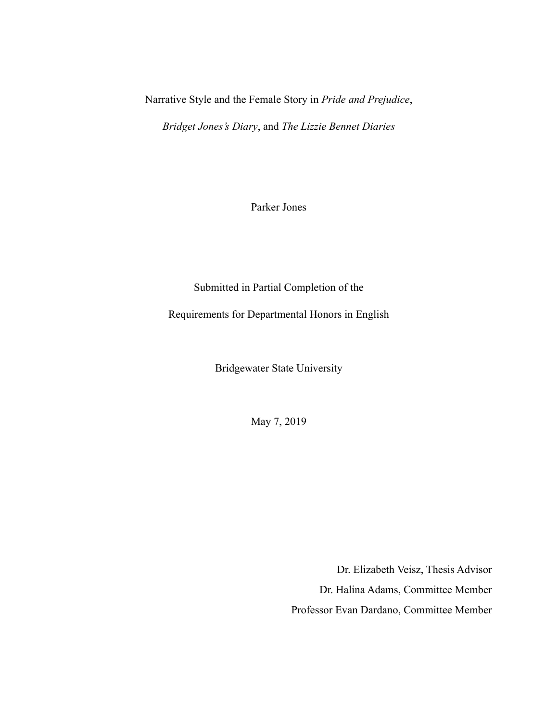Narrative Style and the Female Story in *Pride and Prejudice*,

*Bridget Jones's Diary*, and *The Lizzie Bennet Diaries* 

Parker Jones

Submitted in Partial Completion of the

Requirements for Departmental Honors in English

Bridgewater State University

May 7, 2019

Dr. Elizabeth Veisz, Thesis Advisor Dr. Halina Adams, Committee Member Professor Evan Dardano, Committee Member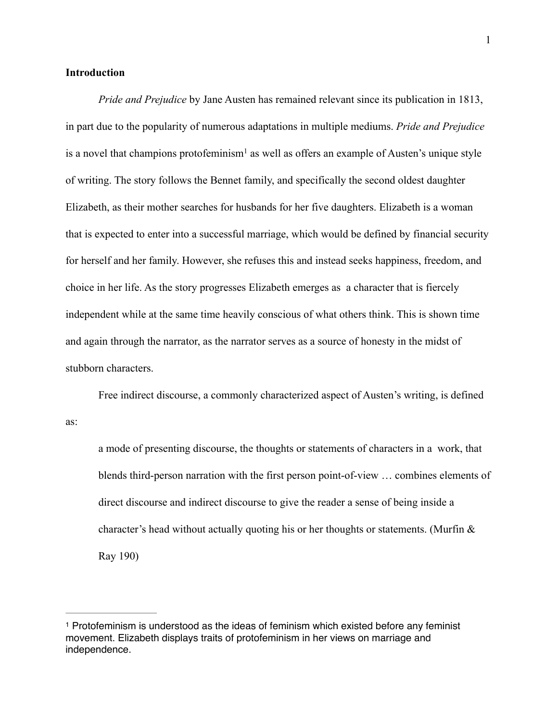## **Introduction**

*Pride and Prejudice* by Jane Austen has remained relevant since its publication in 1813, in part due to the popularity of numerous adaptations in multiple mediums. *Pride and Prejudice* is a novel that champions protofeminism<sup>1</sup> as well as offers an example of Austen's unique style of writing. The story follows the Bennet family, and specifically the second oldest daughter Elizabeth, as their mother searches for husbands for her five daughters. Elizabeth is a woman that is expected to enter into a successful marriage, which would be defined by financial security for herself and her family. However, she refuses this and instead seeks happiness, freedom, and choice in her life. As the story progresses Elizabeth emerges as a character that is fiercely independent while at the same time heavily conscious of what others think. This is shown time and again through the narrator, as the narrator serves as a source of honesty in the midst of stubborn characters.

 Free indirect discourse, a commonly characterized aspect of Austen's writing, is defined as:

 a mode of presenting discourse, the thoughts or statements of characters in a work, that blends third-person narration with the first person point-of-view … combines elements of direct discourse and indirect discourse to give the reader a sense of being inside a character's head without actually quoting his or her thoughts or statements. (Murfin & Ray 190)

 $1$  Protofeminism is understood as the ideas of feminism which existed before any feminist movement. Elizabeth displays traits of protofeminism in her views on marriage and independence.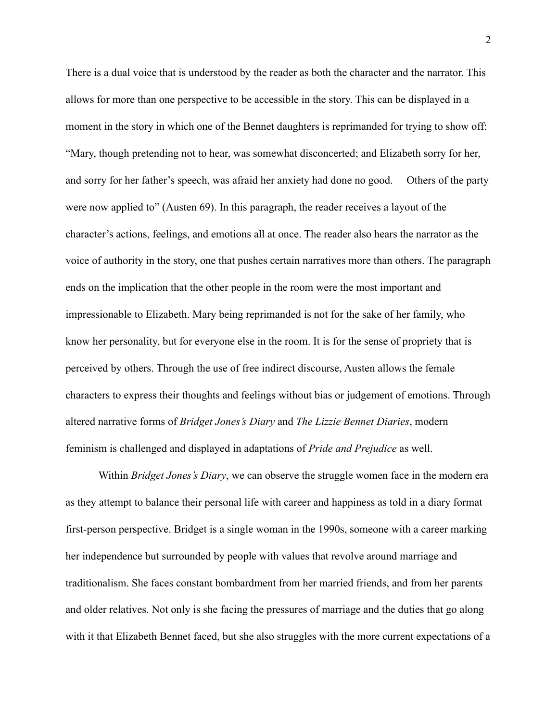There is a dual voice that is understood by the reader as both the character and the narrator. This allows for more than one perspective to be accessible in the story. This can be displayed in a moment in the story in which one of the Bennet daughters is reprimanded for trying to show off: "Mary, though pretending not to hear, was somewhat disconcerted; and Elizabeth sorry for her, and sorry for her father's speech, was afraid her anxiety had done no good. —Others of the party were now applied to" (Austen 69). In this paragraph, the reader receives a layout of the character's actions, feelings, and emotions all at once. The reader also hears the narrator as the voice of authority in the story, one that pushes certain narratives more than others. The paragraph ends on the implication that the other people in the room were the most important and impressionable to Elizabeth. Mary being reprimanded is not for the sake of her family, who know her personality, but for everyone else in the room. It is for the sense of propriety that is perceived by others. Through the use of free indirect discourse, Austen allows the female characters to express their thoughts and feelings without bias or judgement of emotions. Through altered narrative forms of *Bridget Jones's Diary* and *The Lizzie Bennet Diaries*, modern feminism is challenged and displayed in adaptations of *Pride and Prejudice* as well.

 Within *Bridget Jones's Diary*, we can observe the struggle women face in the modern era as they attempt to balance their personal life with career and happiness as told in a diary format first-person perspective. Bridget is a single woman in the 1990s, someone with a career marking her independence but surrounded by people with values that revolve around marriage and traditionalism. She faces constant bombardment from her married friends, and from her parents and older relatives. Not only is she facing the pressures of marriage and the duties that go along with it that Elizabeth Bennet faced, but she also struggles with the more current expectations of a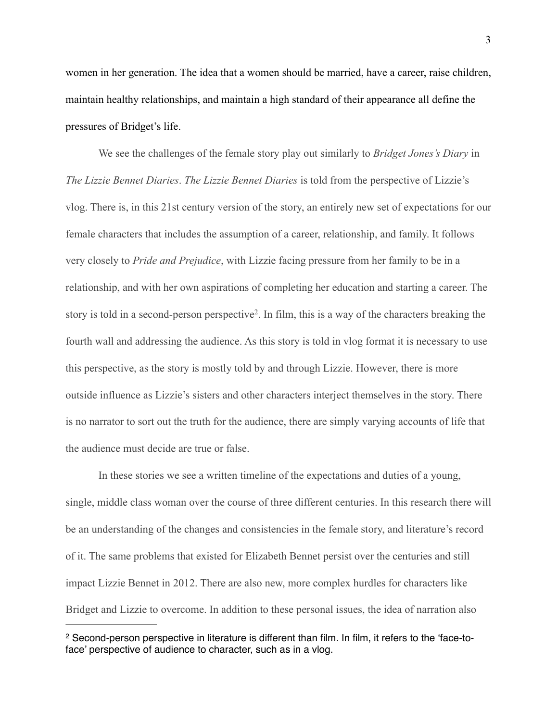women in her generation. The idea that a women should be married, have a career, raise children, maintain healthy relationships, and maintain a high standard of their appearance all define the pressures of Bridget's life.

 We see the challenges of the female story play out similarly to *Bridget Jones's Diary* in *The Lizzie Bennet Diaries*. *The Lizzie Bennet Diaries* is told from the perspective of Lizzie's vlog. There is, in this 21st century version of the story, an entirely new set of expectations for our female characters that includes the assumption of a career, relationship, and family. It follows very closely to *Pride and Prejudice*, with Lizzie facing pressure from her family to be in a relationship, and with her own aspirations of completing her education and starting a career. The story is told in a second-person perspective<sup>2</sup>. In film, this is a way of the characters breaking the fourth wall and addressing the audience. As this story is told in vlog format it is necessary to use this perspective, as the story is mostly told by and through Lizzie. However, there is more outside influence as Lizzie's sisters and other characters interject themselves in the story. There is no narrator to sort out the truth for the audience, there are simply varying accounts of life that the audience must decide are true or false.

 In these stories we see a written timeline of the expectations and duties of a young, single, middle class woman over the course of three different centuries. In this research there will be an understanding of the changes and consistencies in the female story, and literature's record of it. The same problems that existed for Elizabeth Bennet persist over the centuries and still impact Lizzie Bennet in 2012. There are also new, more complex hurdles for characters like Bridget and Lizzie to overcome. In addition to these personal issues, the idea of narration also

<sup>&</sup>lt;sup>2</sup> Second-person perspective in literature is different than film. In film, it refers to the 'face-toface' perspective of audience to character, such as in a vlog.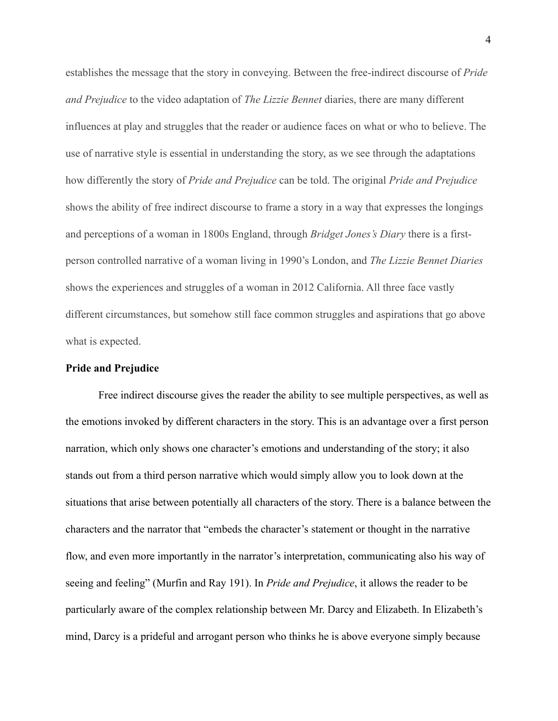establishes the message that the story in conveying. Between the free-indirect discourse of *Pride and Prejudice* to the video adaptation of *The Lizzie Bennet* diaries, there are many different influences at play and struggles that the reader or audience faces on what or who to believe. The use of narrative style is essential in understanding the story, as we see through the adaptations how differently the story of *Pride and Prejudice* can be told. The original *Pride and Prejudice*  shows the ability of free indirect discourse to frame a story in a way that expresses the longings and perceptions of a woman in 1800s England, through *Bridget Jones's Diary* there is a firstperson controlled narrative of a woman living in 1990's London, and *The Lizzie Bennet Diaries*  shows the experiences and struggles of a woman in 2012 California. All three face vastly different circumstances, but somehow still face common struggles and aspirations that go above what is expected.

## **Pride and Prejudice**

 Free indirect discourse gives the reader the ability to see multiple perspectives, as well as the emotions invoked by different characters in the story. This is an advantage over a first person narration, which only shows one character's emotions and understanding of the story; it also stands out from a third person narrative which would simply allow you to look down at the situations that arise between potentially all characters of the story. There is a balance between the characters and the narrator that "embeds the character's statement or thought in the narrative flow, and even more importantly in the narrator's interpretation, communicating also his way of seeing and feeling" (Murfin and Ray 191). In *Pride and Prejudice*, it allows the reader to be particularly aware of the complex relationship between Mr. Darcy and Elizabeth. In Elizabeth's mind, Darcy is a prideful and arrogant person who thinks he is above everyone simply because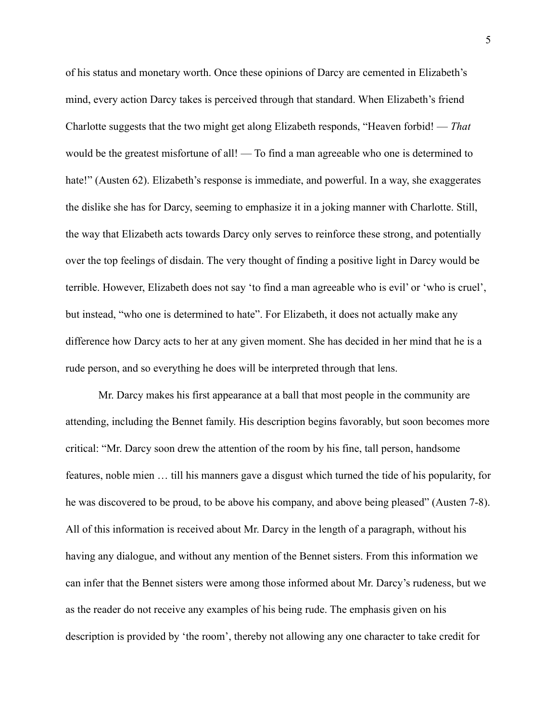of his status and monetary worth. Once these opinions of Darcy are cemented in Elizabeth's mind, every action Darcy takes is perceived through that standard. When Elizabeth's friend Charlotte suggests that the two might get along Elizabeth responds, "Heaven forbid! — *That* would be the greatest misfortune of all! — To find a man agreeable who one is determined to hate!" (Austen 62). Elizabeth's response is immediate, and powerful. In a way, she exaggerates the dislike she has for Darcy, seeming to emphasize it in a joking manner with Charlotte. Still, the way that Elizabeth acts towards Darcy only serves to reinforce these strong, and potentially over the top feelings of disdain. The very thought of finding a positive light in Darcy would be terrible. However, Elizabeth does not say 'to find a man agreeable who is evil' or 'who is cruel', but instead, "who one is determined to hate". For Elizabeth, it does not actually make any difference how Darcy acts to her at any given moment. She has decided in her mind that he is a rude person, and so everything he does will be interpreted through that lens.

 Mr. Darcy makes his first appearance at a ball that most people in the community are attending, including the Bennet family. His description begins favorably, but soon becomes more critical: "Mr. Darcy soon drew the attention of the room by his fine, tall person, handsome features, noble mien … till his manners gave a disgust which turned the tide of his popularity, for he was discovered to be proud, to be above his company, and above being pleased" (Austen 7-8). All of this information is received about Mr. Darcy in the length of a paragraph, without his having any dialogue, and without any mention of the Bennet sisters. From this information we can infer that the Bennet sisters were among those informed about Mr. Darcy's rudeness, but we as the reader do not receive any examples of his being rude. The emphasis given on his description is provided by 'the room', thereby not allowing any one character to take credit for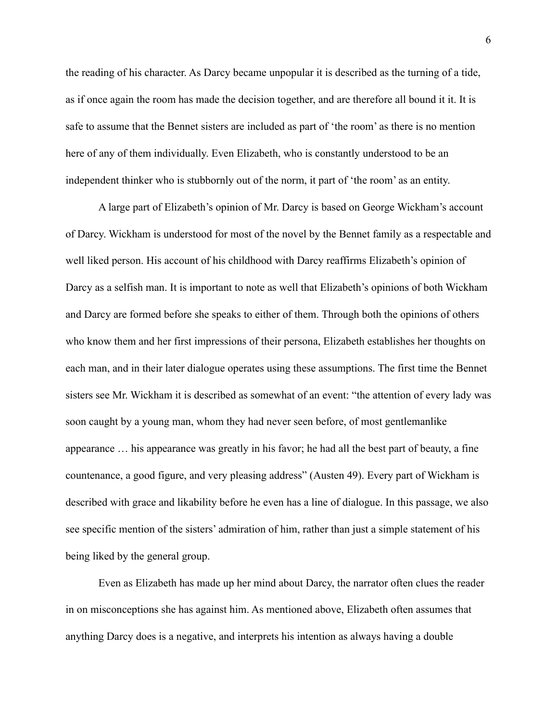the reading of his character. As Darcy became unpopular it is described as the turning of a tide, as if once again the room has made the decision together, and are therefore all bound it it. It is safe to assume that the Bennet sisters are included as part of 'the room' as there is no mention here of any of them individually. Even Elizabeth, who is constantly understood to be an independent thinker who is stubbornly out of the norm, it part of 'the room' as an entity.

 A large part of Elizabeth's opinion of Mr. Darcy is based on George Wickham's account of Darcy. Wickham is understood for most of the novel by the Bennet family as a respectable and well liked person. His account of his childhood with Darcy reaffirms Elizabeth's opinion of Darcy as a selfish man. It is important to note as well that Elizabeth's opinions of both Wickham and Darcy are formed before she speaks to either of them. Through both the opinions of others who know them and her first impressions of their persona, Elizabeth establishes her thoughts on each man, and in their later dialogue operates using these assumptions. The first time the Bennet sisters see Mr. Wickham it is described as somewhat of an event: "the attention of every lady was soon caught by a young man, whom they had never seen before, of most gentlemanlike appearance … his appearance was greatly in his favor; he had all the best part of beauty, a fine countenance, a good figure, and very pleasing address" (Austen 49). Every part of Wickham is described with grace and likability before he even has a line of dialogue. In this passage, we also see specific mention of the sisters' admiration of him, rather than just a simple statement of his being liked by the general group.

 Even as Elizabeth has made up her mind about Darcy, the narrator often clues the reader in on misconceptions she has against him. As mentioned above, Elizabeth often assumes that anything Darcy does is a negative, and interprets his intention as always having a double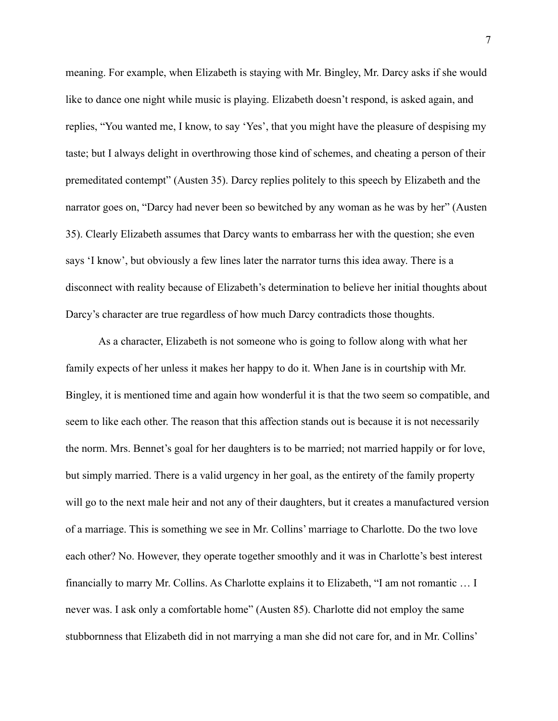meaning. For example, when Elizabeth is staying with Mr. Bingley, Mr. Darcy asks if she would like to dance one night while music is playing. Elizabeth doesn't respond, is asked again, and replies, "You wanted me, I know, to say 'Yes', that you might have the pleasure of despising my taste; but I always delight in overthrowing those kind of schemes, and cheating a person of their premeditated contempt" (Austen 35). Darcy replies politely to this speech by Elizabeth and the narrator goes on, "Darcy had never been so bewitched by any woman as he was by her" (Austen 35). Clearly Elizabeth assumes that Darcy wants to embarrass her with the question; she even says 'I know', but obviously a few lines later the narrator turns this idea away. There is a disconnect with reality because of Elizabeth's determination to believe her initial thoughts about Darcy's character are true regardless of how much Darcy contradicts those thoughts.

 As a character, Elizabeth is not someone who is going to follow along with what her family expects of her unless it makes her happy to do it. When Jane is in courtship with Mr. Bingley, it is mentioned time and again how wonderful it is that the two seem so compatible, and seem to like each other. The reason that this affection stands out is because it is not necessarily the norm. Mrs. Bennet's goal for her daughters is to be married; not married happily or for love, but simply married. There is a valid urgency in her goal, as the entirety of the family property will go to the next male heir and not any of their daughters, but it creates a manufactured version of a marriage. This is something we see in Mr. Collins' marriage to Charlotte. Do the two love each other? No. However, they operate together smoothly and it was in Charlotte's best interest financially to marry Mr. Collins. As Charlotte explains it to Elizabeth, "I am not romantic … I never was. I ask only a comfortable home" (Austen 85). Charlotte did not employ the same stubbornness that Elizabeth did in not marrying a man she did not care for, and in Mr. Collins'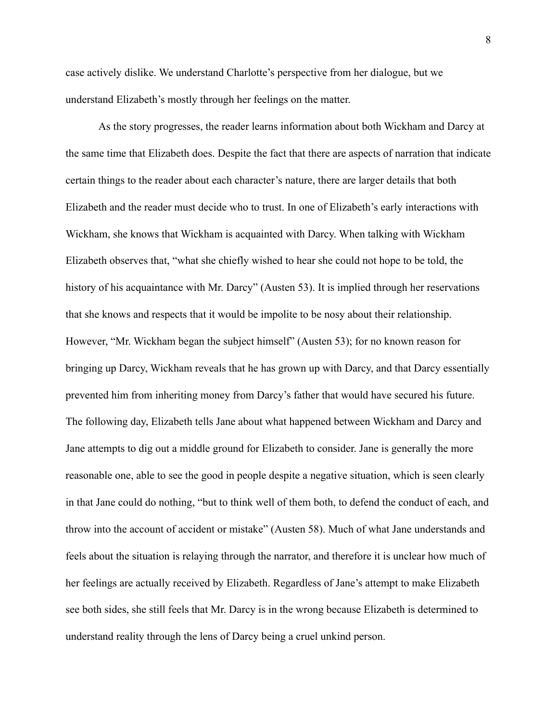case actively dislike. We understand Charlotte's perspective from her dialogue, but we understand Elizabeth's mostly through her feelings on the matter.

 As the story progresses, the reader learns information about both Wickham and Darcy at the same time that Elizabeth does. Despite the fact that there are aspects of narration that indicate certain things to the reader about each character's nature, there are larger details that both Elizabeth and the reader must decide who to trust. In one of Elizabeth's early interactions with Wickham, she knows that Wickham is acquainted with Darcy. When talking with Wickham Elizabeth observes that, "what she chiefly wished to hear she could not hope to be told, the history of his acquaintance with Mr. Darcy" (Austen 53). It is implied through her reservations that she knows and respects that it would be impolite to be nosy about their relationship. However, "Mr. Wickham began the subject himself" (Austen 53); for no known reason for bringing up Darcy, Wickham reveals that he has grown up with Darcy, and that Darcy essentially prevented him from inheriting money from Darcy's father that would have secured his future. The following day, Elizabeth tells Jane about what happened between Wickham and Darcy and Jane attempts to dig out a middle ground for Elizabeth to consider. Jane is generally the more reasonable one, able to see the good in people despite a negative situation, which is seen clearly in that Jane could do nothing, "but to think well of them both, to defend the conduct of each, and throw into the account of accident or mistake" (Austen 58). Much of what Jane understands and feels about the situation is relaying through the narrator, and therefore it is unclear how much of her feelings are actually received by Elizabeth. Regardless of Jane's attempt to make Elizabeth see both sides, she still feels that Mr. Darcy is in the wrong because Elizabeth is determined to understand reality through the lens of Darcy being a cruel unkind person.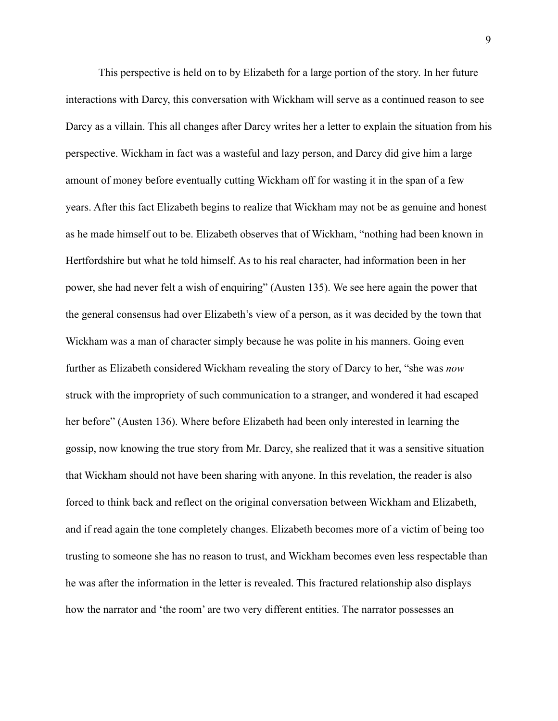This perspective is held on to by Elizabeth for a large portion of the story. In her future interactions with Darcy, this conversation with Wickham will serve as a continued reason to see Darcy as a villain. This all changes after Darcy writes her a letter to explain the situation from his perspective. Wickham in fact was a wasteful and lazy person, and Darcy did give him a large amount of money before eventually cutting Wickham off for wasting it in the span of a few years. After this fact Elizabeth begins to realize that Wickham may not be as genuine and honest as he made himself out to be. Elizabeth observes that of Wickham, "nothing had been known in Hertfordshire but what he told himself. As to his real character, had information been in her power, she had never felt a wish of enquiring" (Austen 135). We see here again the power that the general consensus had over Elizabeth's view of a person, as it was decided by the town that Wickham was a man of character simply because he was polite in his manners. Going even further as Elizabeth considered Wickham revealing the story of Darcy to her, "she was *now* struck with the impropriety of such communication to a stranger, and wondered it had escaped her before" (Austen 136). Where before Elizabeth had been only interested in learning the gossip, now knowing the true story from Mr. Darcy, she realized that it was a sensitive situation that Wickham should not have been sharing with anyone. In this revelation, the reader is also forced to think back and reflect on the original conversation between Wickham and Elizabeth, and if read again the tone completely changes. Elizabeth becomes more of a victim of being too trusting to someone she has no reason to trust, and Wickham becomes even less respectable than he was after the information in the letter is revealed. This fractured relationship also displays how the narrator and 'the room' are two very different entities. The narrator possesses an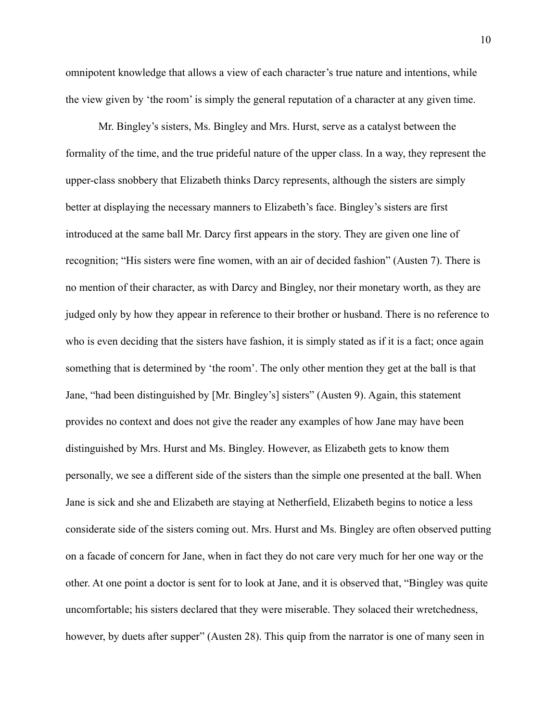omnipotent knowledge that allows a view of each character's true nature and intentions, while the view given by 'the room' is simply the general reputation of a character at any given time.

 Mr. Bingley's sisters, Ms. Bingley and Mrs. Hurst, serve as a catalyst between the formality of the time, and the true prideful nature of the upper class. In a way, they represent the upper-class snobbery that Elizabeth thinks Darcy represents, although the sisters are simply better at displaying the necessary manners to Elizabeth's face. Bingley's sisters are first introduced at the same ball Mr. Darcy first appears in the story. They are given one line of recognition; "His sisters were fine women, with an air of decided fashion" (Austen 7). There is no mention of their character, as with Darcy and Bingley, nor their monetary worth, as they are judged only by how they appear in reference to their brother or husband. There is no reference to who is even deciding that the sisters have fashion, it is simply stated as if it is a fact; once again something that is determined by 'the room'. The only other mention they get at the ball is that Jane, "had been distinguished by [Mr. Bingley's] sisters" (Austen 9). Again, this statement provides no context and does not give the reader any examples of how Jane may have been distinguished by Mrs. Hurst and Ms. Bingley. However, as Elizabeth gets to know them personally, we see a different side of the sisters than the simple one presented at the ball. When Jane is sick and she and Elizabeth are staying at Netherfield, Elizabeth begins to notice a less considerate side of the sisters coming out. Mrs. Hurst and Ms. Bingley are often observed putting on a facade of concern for Jane, when in fact they do not care very much for her one way or the other. At one point a doctor is sent for to look at Jane, and it is observed that, "Bingley was quite uncomfortable; his sisters declared that they were miserable. They solaced their wretchedness, however, by duets after supper" (Austen 28). This quip from the narrator is one of many seen in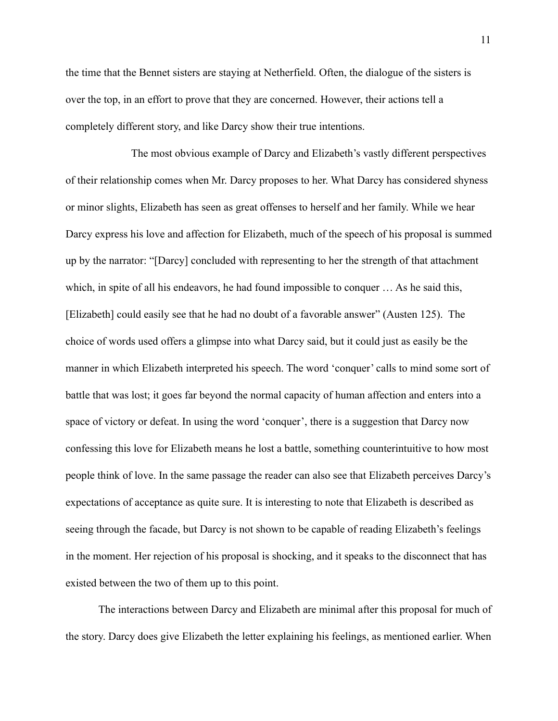the time that the Bennet sisters are staying at Netherfield. Often, the dialogue of the sisters is over the top, in an effort to prove that they are concerned. However, their actions tell a completely different story, and like Darcy show their true intentions.

 The most obvious example of Darcy and Elizabeth's vastly different perspectives of their relationship comes when Mr. Darcy proposes to her. What Darcy has considered shyness or minor slights, Elizabeth has seen as great offenses to herself and her family. While we hear Darcy express his love and affection for Elizabeth, much of the speech of his proposal is summed up by the narrator: "[Darcy] concluded with representing to her the strength of that attachment which, in spite of all his endeavors, he had found impossible to conquer … As he said this, [Elizabeth] could easily see that he had no doubt of a favorable answer" (Austen 125). The choice of words used offers a glimpse into what Darcy said, but it could just as easily be the manner in which Elizabeth interpreted his speech. The word 'conquer' calls to mind some sort of battle that was lost; it goes far beyond the normal capacity of human affection and enters into a space of victory or defeat. In using the word 'conquer', there is a suggestion that Darcy now confessing this love for Elizabeth means he lost a battle, something counterintuitive to how most people think of love. In the same passage the reader can also see that Elizabeth perceives Darcy's expectations of acceptance as quite sure. It is interesting to note that Elizabeth is described as seeing through the facade, but Darcy is not shown to be capable of reading Elizabeth's feelings in the moment. Her rejection of his proposal is shocking, and it speaks to the disconnect that has existed between the two of them up to this point.

 The interactions between Darcy and Elizabeth are minimal after this proposal for much of the story. Darcy does give Elizabeth the letter explaining his feelings, as mentioned earlier. When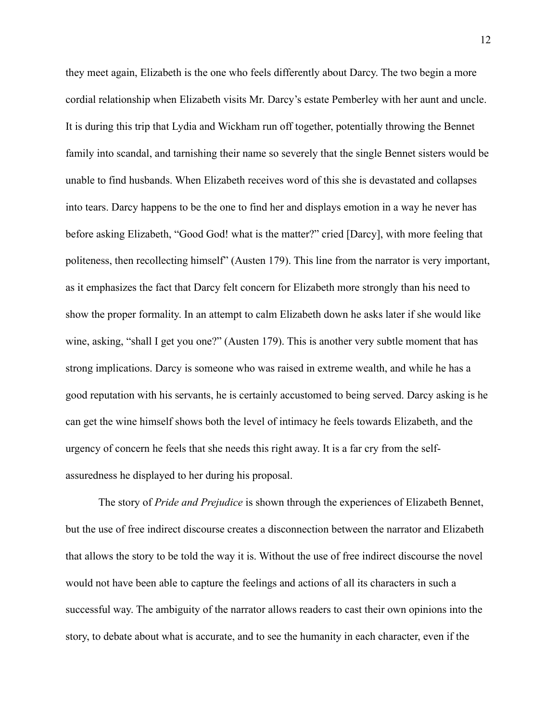they meet again, Elizabeth is the one who feels differently about Darcy. The two begin a more cordial relationship when Elizabeth visits Mr. Darcy's estate Pemberley with her aunt and uncle. It is during this trip that Lydia and Wickham run off together, potentially throwing the Bennet family into scandal, and tarnishing their name so severely that the single Bennet sisters would be unable to find husbands. When Elizabeth receives word of this she is devastated and collapses into tears. Darcy happens to be the one to find her and displays emotion in a way he never has before asking Elizabeth, "Good God! what is the matter?" cried [Darcy], with more feeling that politeness, then recollecting himself" (Austen 179). This line from the narrator is very important, as it emphasizes the fact that Darcy felt concern for Elizabeth more strongly than his need to show the proper formality. In an attempt to calm Elizabeth down he asks later if she would like wine, asking, "shall I get you one?" (Austen 179). This is another very subtle moment that has strong implications. Darcy is someone who was raised in extreme wealth, and while he has a good reputation with his servants, he is certainly accustomed to being served. Darcy asking is he can get the wine himself shows both the level of intimacy he feels towards Elizabeth, and the urgency of concern he feels that she needs this right away. It is a far cry from the selfassuredness he displayed to her during his proposal.

 The story of *Pride and Prejudice* is shown through the experiences of Elizabeth Bennet, but the use of free indirect discourse creates a disconnection between the narrator and Elizabeth that allows the story to be told the way it is. Without the use of free indirect discourse the novel would not have been able to capture the feelings and actions of all its characters in such a successful way. The ambiguity of the narrator allows readers to cast their own opinions into the story, to debate about what is accurate, and to see the humanity in each character, even if the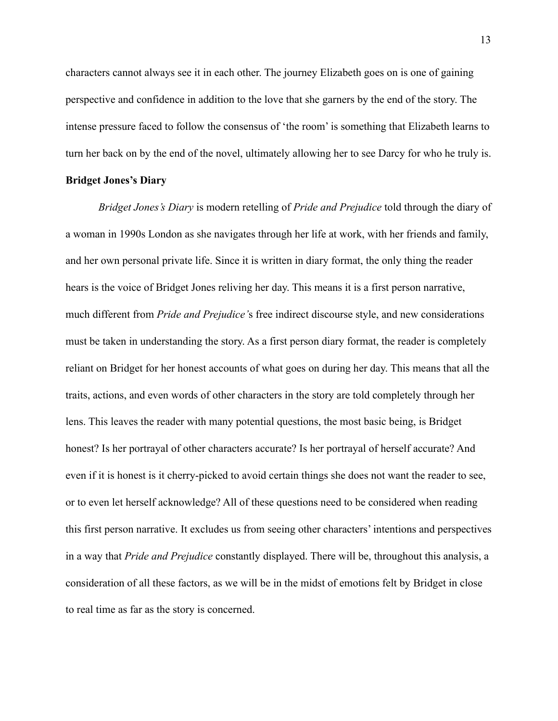characters cannot always see it in each other. The journey Elizabeth goes on is one of gaining perspective and confidence in addition to the love that she garners by the end of the story. The intense pressure faced to follow the consensus of 'the room' is something that Elizabeth learns to turn her back on by the end of the novel, ultimately allowing her to see Darcy for who he truly is.

## **Bridget Jones's Diary**

*Bridget Jones's Diary* is modern retelling of *Pride and Prejudice* told through the diary of a woman in 1990s London as she navigates through her life at work, with her friends and family, and her own personal private life. Since it is written in diary format, the only thing the reader hears is the voice of Bridget Jones reliving her day. This means it is a first person narrative, much different from *Pride and Prejudice'*s free indirect discourse style, and new considerations must be taken in understanding the story. As a first person diary format, the reader is completely reliant on Bridget for her honest accounts of what goes on during her day. This means that all the traits, actions, and even words of other characters in the story are told completely through her lens. This leaves the reader with many potential questions, the most basic being, is Bridget honest? Is her portrayal of other characters accurate? Is her portrayal of herself accurate? And even if it is honest is it cherry-picked to avoid certain things she does not want the reader to see, or to even let herself acknowledge? All of these questions need to be considered when reading this first person narrative. It excludes us from seeing other characters' intentions and perspectives in a way that *Pride and Prejudice* constantly displayed. There will be, throughout this analysis, a consideration of all these factors, as we will be in the midst of emotions felt by Bridget in close to real time as far as the story is concerned.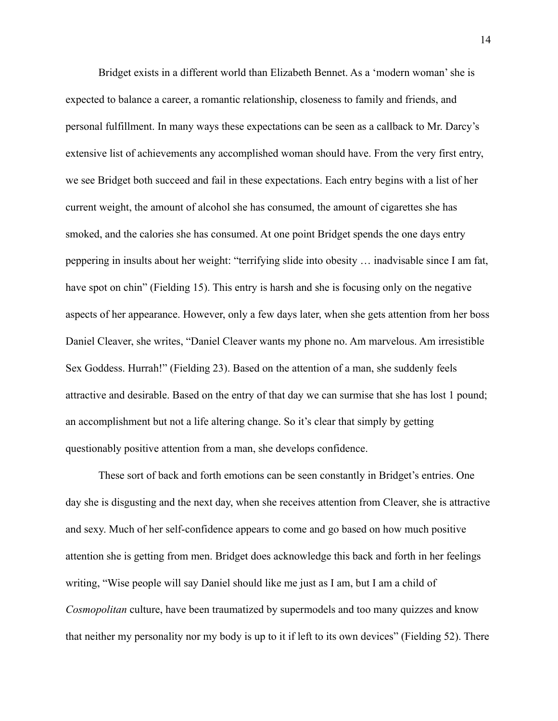Bridget exists in a different world than Elizabeth Bennet. As a 'modern woman' she is expected to balance a career, a romantic relationship, closeness to family and friends, and personal fulfillment. In many ways these expectations can be seen as a callback to Mr. Darcy's extensive list of achievements any accomplished woman should have. From the very first entry, we see Bridget both succeed and fail in these expectations. Each entry begins with a list of her current weight, the amount of alcohol she has consumed, the amount of cigarettes she has smoked, and the calories she has consumed. At one point Bridget spends the one days entry peppering in insults about her weight: "terrifying slide into obesity … inadvisable since I am fat, have spot on chin" (Fielding 15). This entry is harsh and she is focusing only on the negative aspects of her appearance. However, only a few days later, when she gets attention from her boss Daniel Cleaver, she writes, "Daniel Cleaver wants my phone no. Am marvelous. Am irresistible Sex Goddess. Hurrah!" (Fielding 23). Based on the attention of a man, she suddenly feels attractive and desirable. Based on the entry of that day we can surmise that she has lost 1 pound; an accomplishment but not a life altering change. So it's clear that simply by getting questionably positive attention from a man, she develops confidence.

 These sort of back and forth emotions can be seen constantly in Bridget's entries. One day she is disgusting and the next day, when she receives attention from Cleaver, she is attractive and sexy. Much of her self-confidence appears to come and go based on how much positive attention she is getting from men. Bridget does acknowledge this back and forth in her feelings writing, "Wise people will say Daniel should like me just as I am, but I am a child of *Cosmopolitan* culture, have been traumatized by supermodels and too many quizzes and know that neither my personality nor my body is up to it if left to its own devices" (Fielding 52). There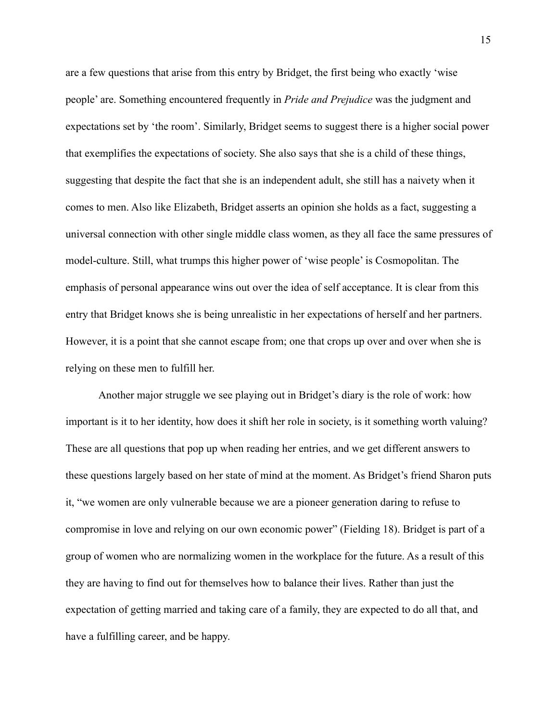are a few questions that arise from this entry by Bridget, the first being who exactly 'wise people' are. Something encountered frequently in *Pride and Prejudice* was the judgment and expectations set by 'the room'. Similarly, Bridget seems to suggest there is a higher social power that exemplifies the expectations of society. She also says that she is a child of these things, suggesting that despite the fact that she is an independent adult, she still has a naivety when it comes to men. Also like Elizabeth, Bridget asserts an opinion she holds as a fact, suggesting a universal connection with other single middle class women, as they all face the same pressures of model-culture. Still, what trumps this higher power of 'wise people' is Cosmopolitan. The emphasis of personal appearance wins out over the idea of self acceptance. It is clear from this entry that Bridget knows she is being unrealistic in her expectations of herself and her partners. However, it is a point that she cannot escape from; one that crops up over and over when she is relying on these men to fulfill her.

 Another major struggle we see playing out in Bridget's diary is the role of work: how important is it to her identity, how does it shift her role in society, is it something worth valuing? These are all questions that pop up when reading her entries, and we get different answers to these questions largely based on her state of mind at the moment. As Bridget's friend Sharon puts it, "we women are only vulnerable because we are a pioneer generation daring to refuse to compromise in love and relying on our own economic power" (Fielding 18). Bridget is part of a group of women who are normalizing women in the workplace for the future. As a result of this they are having to find out for themselves how to balance their lives. Rather than just the expectation of getting married and taking care of a family, they are expected to do all that, and have a fulfilling career, and be happy.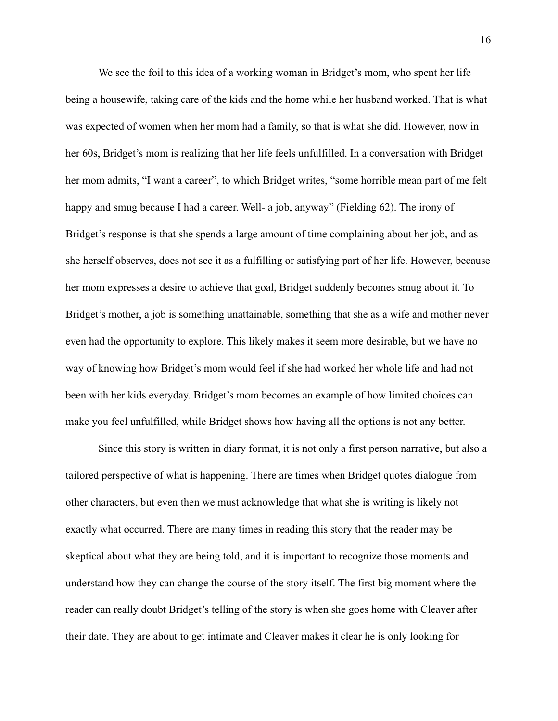We see the foil to this idea of a working woman in Bridget's mom, who spent her life being a housewife, taking care of the kids and the home while her husband worked. That is what was expected of women when her mom had a family, so that is what she did. However, now in her 60s, Bridget's mom is realizing that her life feels unfulfilled. In a conversation with Bridget her mom admits, "I want a career", to which Bridget writes, "some horrible mean part of me felt happy and smug because I had a career. Well- a job, anyway" (Fielding 62). The irony of Bridget's response is that she spends a large amount of time complaining about her job, and as she herself observes, does not see it as a fulfilling or satisfying part of her life. However, because her mom expresses a desire to achieve that goal, Bridget suddenly becomes smug about it. To Bridget's mother, a job is something unattainable, something that she as a wife and mother never even had the opportunity to explore. This likely makes it seem more desirable, but we have no way of knowing how Bridget's mom would feel if she had worked her whole life and had not been with her kids everyday. Bridget's mom becomes an example of how limited choices can make you feel unfulfilled, while Bridget shows how having all the options is not any better.

 Since this story is written in diary format, it is not only a first person narrative, but also a tailored perspective of what is happening. There are times when Bridget quotes dialogue from other characters, but even then we must acknowledge that what she is writing is likely not exactly what occurred. There are many times in reading this story that the reader may be skeptical about what they are being told, and it is important to recognize those moments and understand how they can change the course of the story itself. The first big moment where the reader can really doubt Bridget's telling of the story is when she goes home with Cleaver after their date. They are about to get intimate and Cleaver makes it clear he is only looking for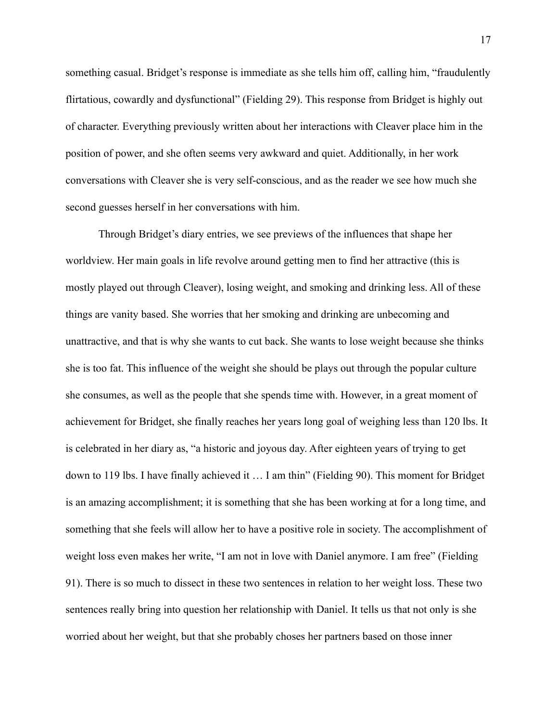something casual. Bridget's response is immediate as she tells him off, calling him, "fraudulently flirtatious, cowardly and dysfunctional" (Fielding 29). This response from Bridget is highly out of character. Everything previously written about her interactions with Cleaver place him in the position of power, and she often seems very awkward and quiet. Additionally, in her work conversations with Cleaver she is very self-conscious, and as the reader we see how much she second guesses herself in her conversations with him.

 Through Bridget's diary entries, we see previews of the influences that shape her worldview. Her main goals in life revolve around getting men to find her attractive (this is mostly played out through Cleaver), losing weight, and smoking and drinking less. All of these things are vanity based. She worries that her smoking and drinking are unbecoming and unattractive, and that is why she wants to cut back. She wants to lose weight because she thinks she is too fat. This influence of the weight she should be plays out through the popular culture she consumes, as well as the people that she spends time with. However, in a great moment of achievement for Bridget, she finally reaches her years long goal of weighing less than 120 lbs. It is celebrated in her diary as, "a historic and joyous day. After eighteen years of trying to get down to 119 lbs. I have finally achieved it … I am thin" (Fielding 90). This moment for Bridget is an amazing accomplishment; it is something that she has been working at for a long time, and something that she feels will allow her to have a positive role in society. The accomplishment of weight loss even makes her write, "I am not in love with Daniel anymore. I am free" (Fielding 91). There is so much to dissect in these two sentences in relation to her weight loss. These two sentences really bring into question her relationship with Daniel. It tells us that not only is she worried about her weight, but that she probably choses her partners based on those inner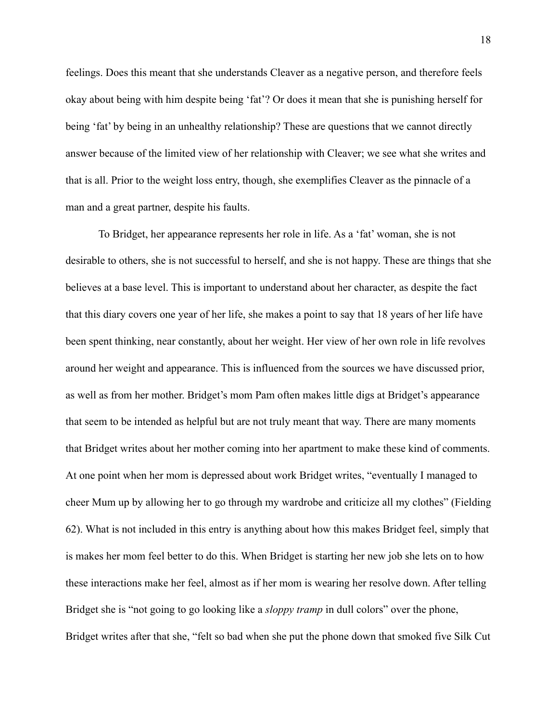feelings. Does this meant that she understands Cleaver as a negative person, and therefore feels okay about being with him despite being 'fat'? Or does it mean that she is punishing herself for being 'fat' by being in an unhealthy relationship? These are questions that we cannot directly answer because of the limited view of her relationship with Cleaver; we see what she writes and that is all. Prior to the weight loss entry, though, she exemplifies Cleaver as the pinnacle of a man and a great partner, despite his faults.

 To Bridget, her appearance represents her role in life. As a 'fat' woman, she is not desirable to others, she is not successful to herself, and she is not happy. These are things that she believes at a base level. This is important to understand about her character, as despite the fact that this diary covers one year of her life, she makes a point to say that 18 years of her life have been spent thinking, near constantly, about her weight. Her view of her own role in life revolves around her weight and appearance. This is influenced from the sources we have discussed prior, as well as from her mother. Bridget's mom Pam often makes little digs at Bridget's appearance that seem to be intended as helpful but are not truly meant that way. There are many moments that Bridget writes about her mother coming into her apartment to make these kind of comments. At one point when her mom is depressed about work Bridget writes, "eventually I managed to cheer Mum up by allowing her to go through my wardrobe and criticize all my clothes" (Fielding 62). What is not included in this entry is anything about how this makes Bridget feel, simply that is makes her mom feel better to do this. When Bridget is starting her new job she lets on to how these interactions make her feel, almost as if her mom is wearing her resolve down. After telling Bridget she is "not going to go looking like a *sloppy tramp* in dull colors" over the phone, Bridget writes after that she, "felt so bad when she put the phone down that smoked five Silk Cut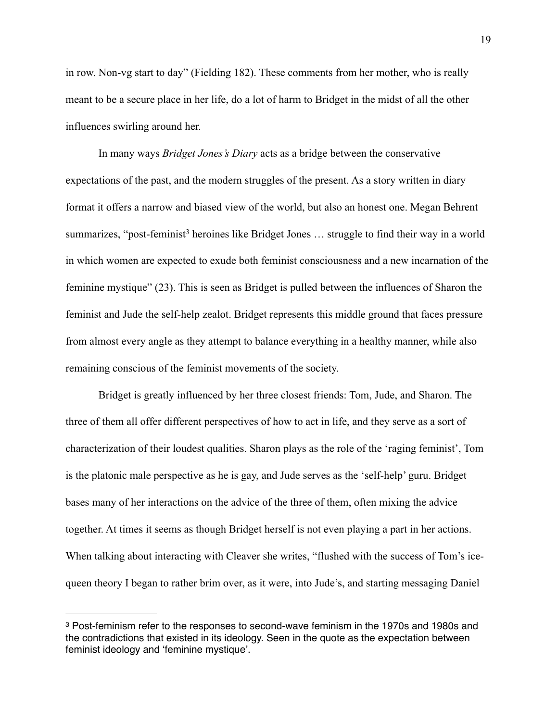in row. Non-vg start to day" (Fielding 182). These comments from her mother, who is really meant to be a secure place in her life, do a lot of harm to Bridget in the midst of all the other influences swirling around her.

 In many ways *Bridget Jones's Diary* acts as a bridge between the conservative expectations of the past, and the modern struggles of the present. As a story written in diary format it offers a narrow and biased view of the world, but also an honest one. Megan Behrent summarizes, "post-feminist<sup>3</sup> heroines like Bridget Jones  $\ldots$  struggle to find their way in a world in which women are expected to exude both feminist consciousness and a new incarnation of the feminine mystique" (23). This is seen as Bridget is pulled between the influences of Sharon the feminist and Jude the self-help zealot. Bridget represents this middle ground that faces pressure from almost every angle as they attempt to balance everything in a healthy manner, while also remaining conscious of the feminist movements of the society.

 Bridget is greatly influenced by her three closest friends: Tom, Jude, and Sharon. The three of them all offer different perspectives of how to act in life, and they serve as a sort of characterization of their loudest qualities. Sharon plays as the role of the 'raging feminist', Tom is the platonic male perspective as he is gay, and Jude serves as the 'self-help' guru. Bridget bases many of her interactions on the advice of the three of them, often mixing the advice together. At times it seems as though Bridget herself is not even playing a part in her actions. When talking about interacting with Cleaver she writes, "flushed with the success of Tom's icequeen theory I began to rather brim over, as it were, into Jude's, and starting messaging Daniel

<sup>&</sup>lt;sup>3</sup> Post-feminism refer to the responses to second-wave feminism in the 1970s and 1980s and the contradictions that existed in its ideology. Seen in the quote as the expectation between feminist ideology and 'feminine mystique'.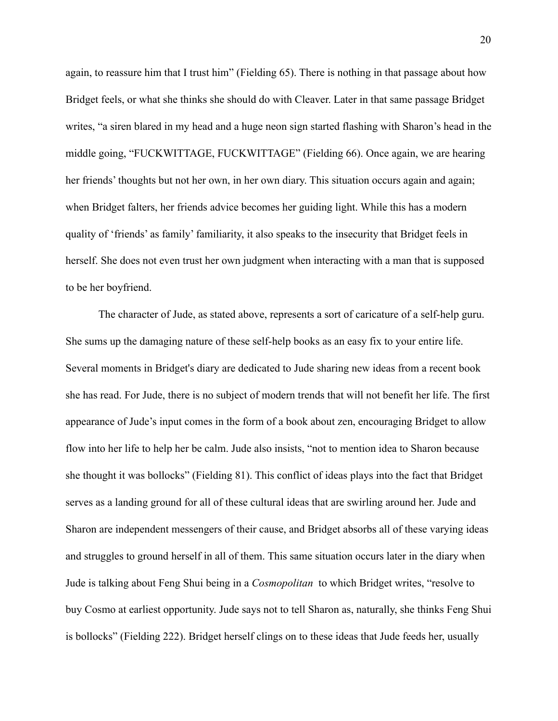again, to reassure him that I trust him" (Fielding 65). There is nothing in that passage about how Bridget feels, or what she thinks she should do with Cleaver. Later in that same passage Bridget writes, "a siren blared in my head and a huge neon sign started flashing with Sharon's head in the middle going, "FUCKWITTAGE, FUCKWITTAGE" (Fielding 66). Once again, we are hearing her friends' thoughts but not her own, in her own diary. This situation occurs again and again; when Bridget falters, her friends advice becomes her guiding light. While this has a modern quality of 'friends' as family' familiarity, it also speaks to the insecurity that Bridget feels in herself. She does not even trust her own judgment when interacting with a man that is supposed to be her boyfriend.

 The character of Jude, as stated above, represents a sort of caricature of a self-help guru. She sums up the damaging nature of these self-help books as an easy fix to your entire life. Several moments in Bridget's diary are dedicated to Jude sharing new ideas from a recent book she has read. For Jude, there is no subject of modern trends that will not benefit her life. The first appearance of Jude's input comes in the form of a book about zen, encouraging Bridget to allow flow into her life to help her be calm. Jude also insists, "not to mention idea to Sharon because she thought it was bollocks" (Fielding 81). This conflict of ideas plays into the fact that Bridget serves as a landing ground for all of these cultural ideas that are swirling around her. Jude and Sharon are independent messengers of their cause, and Bridget absorbs all of these varying ideas and struggles to ground herself in all of them. This same situation occurs later in the diary when Jude is talking about Feng Shui being in a *Cosmopolitan* to which Bridget writes, "resolve to buy Cosmo at earliest opportunity. Jude says not to tell Sharon as, naturally, she thinks Feng Shui is bollocks" (Fielding 222). Bridget herself clings on to these ideas that Jude feeds her, usually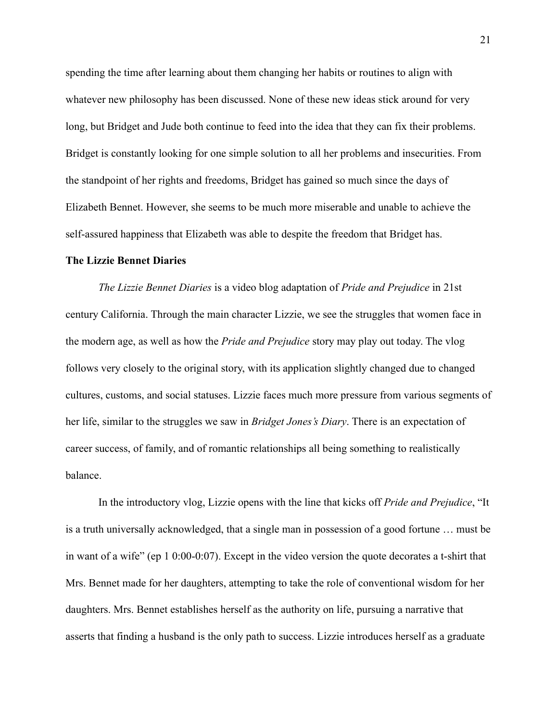spending the time after learning about them changing her habits or routines to align with whatever new philosophy has been discussed. None of these new ideas stick around for very long, but Bridget and Jude both continue to feed into the idea that they can fix their problems. Bridget is constantly looking for one simple solution to all her problems and insecurities. From the standpoint of her rights and freedoms, Bridget has gained so much since the days of Elizabeth Bennet. However, she seems to be much more miserable and unable to achieve the self-assured happiness that Elizabeth was able to despite the freedom that Bridget has.

## **The Lizzie Bennet Diaries**

*The Lizzie Bennet Diaries* is a video blog adaptation of *Pride and Prejudice* in 21st century California. Through the main character Lizzie, we see the struggles that women face in the modern age, as well as how the *Pride and Prejudice* story may play out today. The vlog follows very closely to the original story, with its application slightly changed due to changed cultures, customs, and social statuses. Lizzie faces much more pressure from various segments of her life, similar to the struggles we saw in *Bridget Jones's Diary*. There is an expectation of career success, of family, and of romantic relationships all being something to realistically balance.

 In the introductory vlog, Lizzie opens with the line that kicks off *Pride and Prejudice*, "It is a truth universally acknowledged, that a single man in possession of a good fortune … must be in want of a wife" (ep 1 0:00-0:07). Except in the video version the quote decorates a t-shirt that Mrs. Bennet made for her daughters, attempting to take the role of conventional wisdom for her daughters. Mrs. Bennet establishes herself as the authority on life, pursuing a narrative that asserts that finding a husband is the only path to success. Lizzie introduces herself as a graduate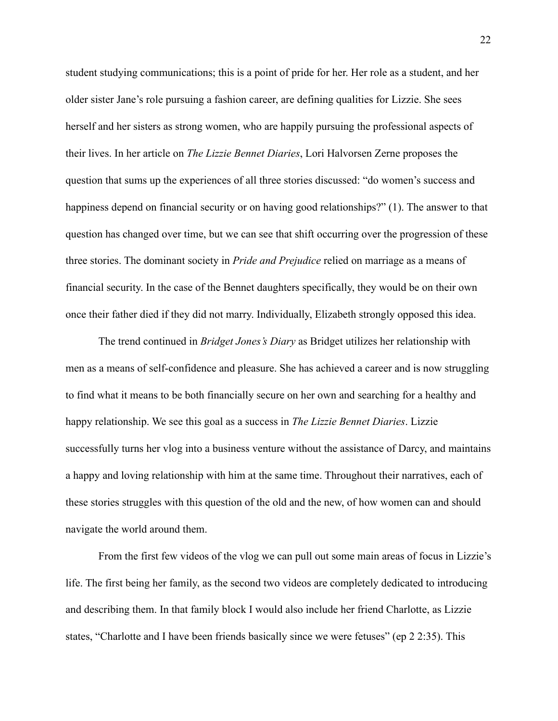student studying communications; this is a point of pride for her. Her role as a student, and her older sister Jane's role pursuing a fashion career, are defining qualities for Lizzie. She sees herself and her sisters as strong women, who are happily pursuing the professional aspects of their lives. In her article on *The Lizzie Bennet Diaries*, Lori Halvorsen Zerne proposes the question that sums up the experiences of all three stories discussed: "do women's success and happiness depend on financial security or on having good relationships?" (1). The answer to that question has changed over time, but we can see that shift occurring over the progression of these three stories. The dominant society in *Pride and Prejudice* relied on marriage as a means of financial security. In the case of the Bennet daughters specifically, they would be on their own once their father died if they did not marry. Individually, Elizabeth strongly opposed this idea.

 The trend continued in *Bridget Jones's Diary* as Bridget utilizes her relationship with men as a means of self-confidence and pleasure. She has achieved a career and is now struggling to find what it means to be both financially secure on her own and searching for a healthy and happy relationship. We see this goal as a success in *The Lizzie Bennet Diaries*. Lizzie successfully turns her vlog into a business venture without the assistance of Darcy, and maintains a happy and loving relationship with him at the same time. Throughout their narratives, each of these stories struggles with this question of the old and the new, of how women can and should navigate the world around them.

 From the first few videos of the vlog we can pull out some main areas of focus in Lizzie's life. The first being her family, as the second two videos are completely dedicated to introducing and describing them. In that family block I would also include her friend Charlotte, as Lizzie states, "Charlotte and I have been friends basically since we were fetuses" (ep 2 2:35). This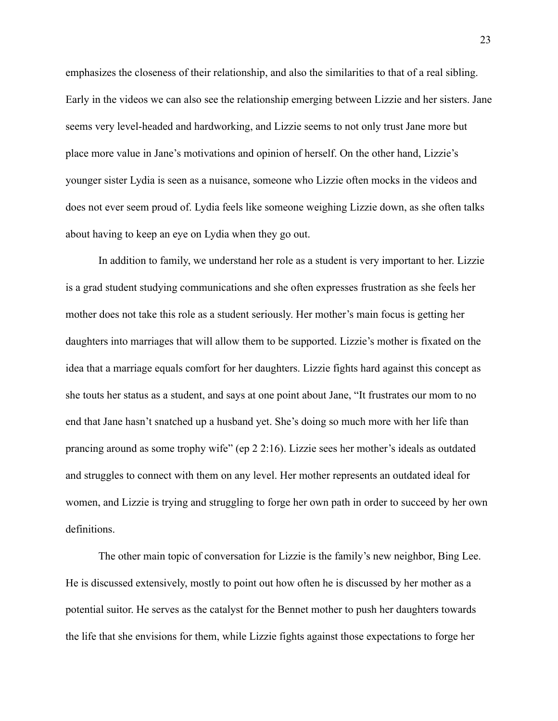emphasizes the closeness of their relationship, and also the similarities to that of a real sibling. Early in the videos we can also see the relationship emerging between Lizzie and her sisters. Jane seems very level-headed and hardworking, and Lizzie seems to not only trust Jane more but place more value in Jane's motivations and opinion of herself. On the other hand, Lizzie's younger sister Lydia is seen as a nuisance, someone who Lizzie often mocks in the videos and does not ever seem proud of. Lydia feels like someone weighing Lizzie down, as she often talks about having to keep an eye on Lydia when they go out.

 In addition to family, we understand her role as a student is very important to her. Lizzie is a grad student studying communications and she often expresses frustration as she feels her mother does not take this role as a student seriously. Her mother's main focus is getting her daughters into marriages that will allow them to be supported. Lizzie's mother is fixated on the idea that a marriage equals comfort for her daughters. Lizzie fights hard against this concept as she touts her status as a student, and says at one point about Jane, "It frustrates our mom to no end that Jane hasn't snatched up a husband yet. She's doing so much more with her life than prancing around as some trophy wife" (ep 2 2:16). Lizzie sees her mother's ideals as outdated and struggles to connect with them on any level. Her mother represents an outdated ideal for women, and Lizzie is trying and struggling to forge her own path in order to succeed by her own definitions.

 The other main topic of conversation for Lizzie is the family's new neighbor, Bing Lee. He is discussed extensively, mostly to point out how often he is discussed by her mother as a potential suitor. He serves as the catalyst for the Bennet mother to push her daughters towards the life that she envisions for them, while Lizzie fights against those expectations to forge her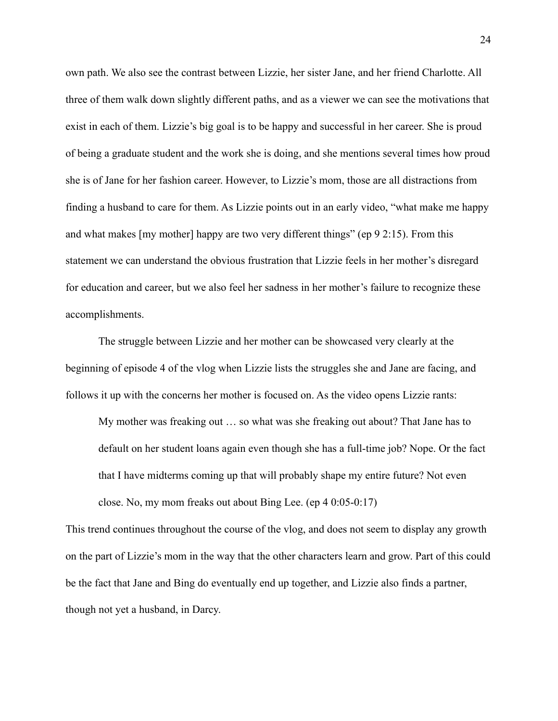own path. We also see the contrast between Lizzie, her sister Jane, and her friend Charlotte. All three of them walk down slightly different paths, and as a viewer we can see the motivations that exist in each of them. Lizzie's big goal is to be happy and successful in her career. She is proud of being a graduate student and the work she is doing, and she mentions several times how proud she is of Jane for her fashion career. However, to Lizzie's mom, those are all distractions from finding a husband to care for them. As Lizzie points out in an early video, "what make me happy and what makes [my mother] happy are two very different things" (ep 9 2:15). From this statement we can understand the obvious frustration that Lizzie feels in her mother's disregard for education and career, but we also feel her sadness in her mother's failure to recognize these accomplishments.

 The struggle between Lizzie and her mother can be showcased very clearly at the beginning of episode 4 of the vlog when Lizzie lists the struggles she and Jane are facing, and follows it up with the concerns her mother is focused on. As the video opens Lizzie rants:

 My mother was freaking out … so what was she freaking out about? That Jane has to default on her student loans again even though she has a full-time job? Nope. Or the fact that I have midterms coming up that will probably shape my entire future? Not even close. No, my mom freaks out about Bing Lee. (ep 4 0:05-0:17)

This trend continues throughout the course of the vlog, and does not seem to display any growth on the part of Lizzie's mom in the way that the other characters learn and grow. Part of this could be the fact that Jane and Bing do eventually end up together, and Lizzie also finds a partner, though not yet a husband, in Darcy.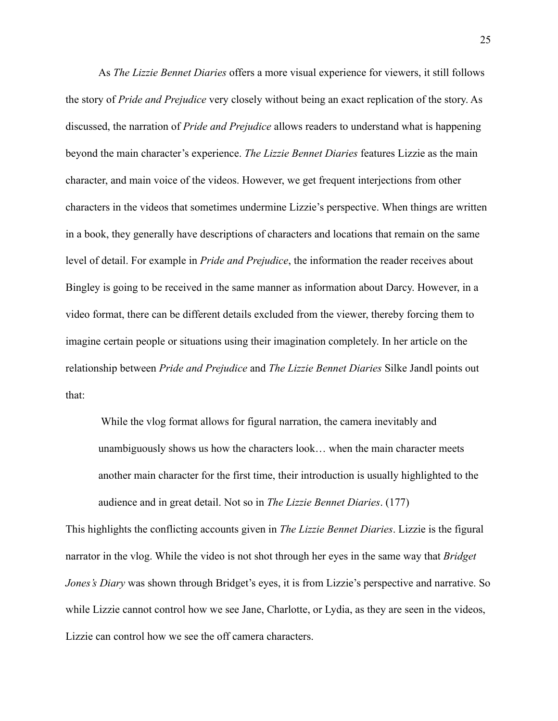As *The Lizzie Bennet Diaries* offers a more visual experience for viewers, it still follows the story of *Pride and Prejudice* very closely without being an exact replication of the story. As discussed, the narration of *Pride and Prejudice* allows readers to understand what is happening beyond the main character's experience. *The Lizzie Bennet Diaries* features Lizzie as the main character, and main voice of the videos. However, we get frequent interjections from other characters in the videos that sometimes undermine Lizzie's perspective. When things are written in a book, they generally have descriptions of characters and locations that remain on the same level of detail. For example in *Pride and Prejudice*, the information the reader receives about Bingley is going to be received in the same manner as information about Darcy. However, in a video format, there can be different details excluded from the viewer, thereby forcing them to imagine certain people or situations using their imagination completely. In her article on the relationship between *Pride and Prejudice* and *The Lizzie Bennet Diaries* Silke Jandl points out that:

 While the vlog format allows for figural narration, the camera inevitably and unambiguously shows us how the characters look… when the main character meets another main character for the first time, their introduction is usually highlighted to the audience and in great detail. Not so in *The Lizzie Bennet Diaries*. (177)

This highlights the conflicting accounts given in *The Lizzie Bennet Diaries*. Lizzie is the figural narrator in the vlog. While the video is not shot through her eyes in the same way that *Bridget Jones's Diary* was shown through Bridget's eyes, it is from Lizzie's perspective and narrative. So while Lizzie cannot control how we see Jane, Charlotte, or Lydia, as they are seen in the videos, Lizzie can control how we see the off camera characters.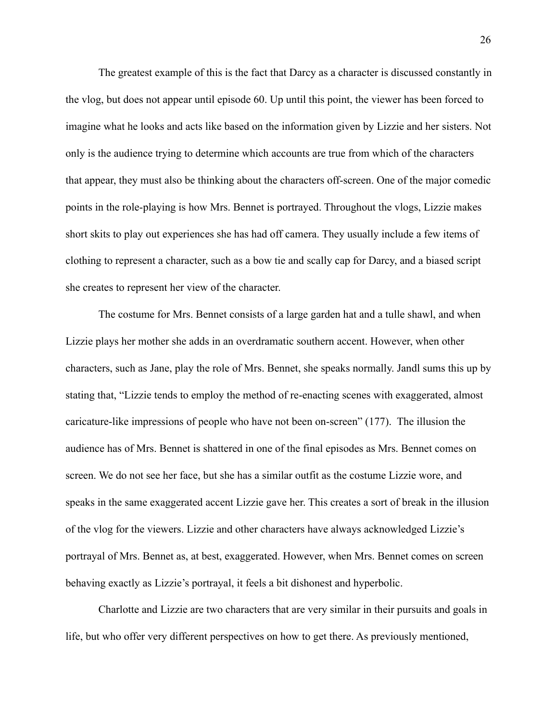The greatest example of this is the fact that Darcy as a character is discussed constantly in the vlog, but does not appear until episode 60. Up until this point, the viewer has been forced to imagine what he looks and acts like based on the information given by Lizzie and her sisters. Not only is the audience trying to determine which accounts are true from which of the characters that appear, they must also be thinking about the characters off-screen. One of the major comedic points in the role-playing is how Mrs. Bennet is portrayed. Throughout the vlogs, Lizzie makes short skits to play out experiences she has had off camera. They usually include a few items of clothing to represent a character, such as a bow tie and scally cap for Darcy, and a biased script she creates to represent her view of the character.

 The costume for Mrs. Bennet consists of a large garden hat and a tulle shawl, and when Lizzie plays her mother she adds in an overdramatic southern accent. However, when other characters, such as Jane, play the role of Mrs. Bennet, she speaks normally. Jandl sums this up by stating that, "Lizzie tends to employ the method of re-enacting scenes with exaggerated, almost caricature-like impressions of people who have not been on-screen" (177). The illusion the audience has of Mrs. Bennet is shattered in one of the final episodes as Mrs. Bennet comes on screen. We do not see her face, but she has a similar outfit as the costume Lizzie wore, and speaks in the same exaggerated accent Lizzie gave her. This creates a sort of break in the illusion of the vlog for the viewers. Lizzie and other characters have always acknowledged Lizzie's portrayal of Mrs. Bennet as, at best, exaggerated. However, when Mrs. Bennet comes on screen behaving exactly as Lizzie's portrayal, it feels a bit dishonest and hyperbolic.

 Charlotte and Lizzie are two characters that are very similar in their pursuits and goals in life, but who offer very different perspectives on how to get there. As previously mentioned,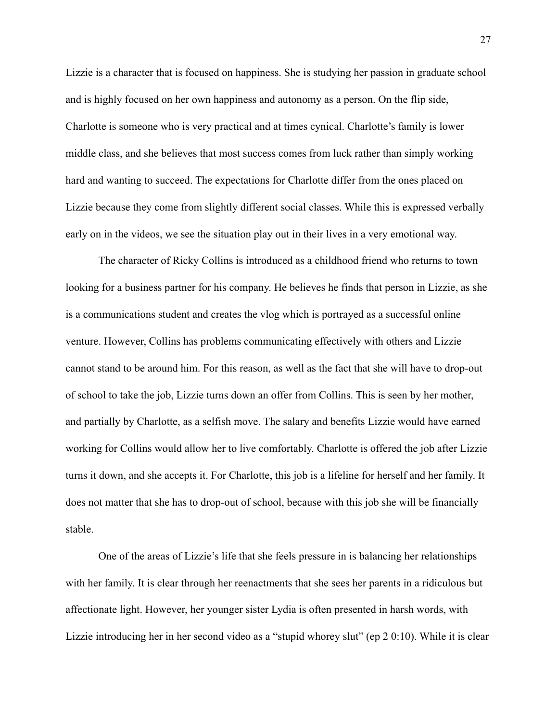Lizzie is a character that is focused on happiness. She is studying her passion in graduate school and is highly focused on her own happiness and autonomy as a person. On the flip side, Charlotte is someone who is very practical and at times cynical. Charlotte's family is lower middle class, and she believes that most success comes from luck rather than simply working hard and wanting to succeed. The expectations for Charlotte differ from the ones placed on Lizzie because they come from slightly different social classes. While this is expressed verbally early on in the videos, we see the situation play out in their lives in a very emotional way.

 The character of Ricky Collins is introduced as a childhood friend who returns to town looking for a business partner for his company. He believes he finds that person in Lizzie, as she is a communications student and creates the vlog which is portrayed as a successful online venture. However, Collins has problems communicating effectively with others and Lizzie cannot stand to be around him. For this reason, as well as the fact that she will have to drop-out of school to take the job, Lizzie turns down an offer from Collins. This is seen by her mother, and partially by Charlotte, as a selfish move. The salary and benefits Lizzie would have earned working for Collins would allow her to live comfortably. Charlotte is offered the job after Lizzie turns it down, and she accepts it. For Charlotte, this job is a lifeline for herself and her family. It does not matter that she has to drop-out of school, because with this job she will be financially stable.

 One of the areas of Lizzie's life that she feels pressure in is balancing her relationships with her family. It is clear through her reenactments that she sees her parents in a ridiculous but affectionate light. However, her younger sister Lydia is often presented in harsh words, with Lizzie introducing her in her second video as a "stupid whorey slut" (ep 2 0:10). While it is clear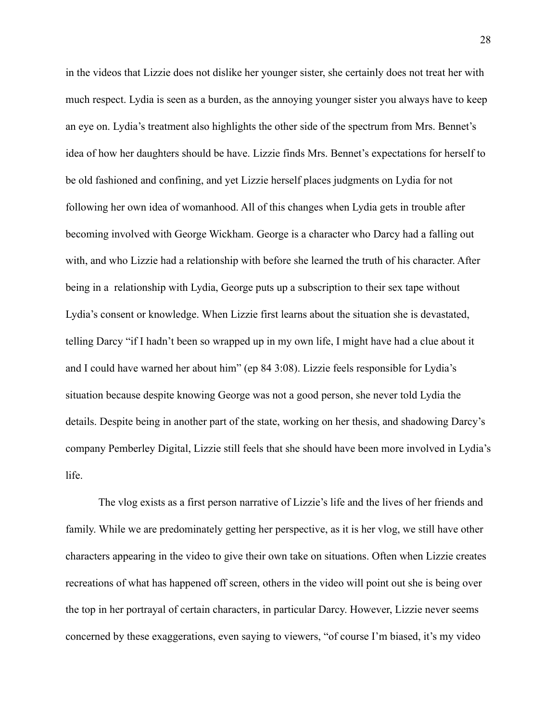in the videos that Lizzie does not dislike her younger sister, she certainly does not treat her with much respect. Lydia is seen as a burden, as the annoying younger sister you always have to keep an eye on. Lydia's treatment also highlights the other side of the spectrum from Mrs. Bennet's idea of how her daughters should be have. Lizzie finds Mrs. Bennet's expectations for herself to be old fashioned and confining, and yet Lizzie herself places judgments on Lydia for not following her own idea of womanhood. All of this changes when Lydia gets in trouble after becoming involved with George Wickham. George is a character who Darcy had a falling out with, and who Lizzie had a relationship with before she learned the truth of his character. After being in a relationship with Lydia, George puts up a subscription to their sex tape without Lydia's consent or knowledge. When Lizzie first learns about the situation she is devastated, telling Darcy "if I hadn't been so wrapped up in my own life, I might have had a clue about it and I could have warned her about him" (ep 84 3:08). Lizzie feels responsible for Lydia's situation because despite knowing George was not a good person, she never told Lydia the details. Despite being in another part of the state, working on her thesis, and shadowing Darcy's company Pemberley Digital, Lizzie still feels that she should have been more involved in Lydia's life.

 The vlog exists as a first person narrative of Lizzie's life and the lives of her friends and family. While we are predominately getting her perspective, as it is her vlog, we still have other characters appearing in the video to give their own take on situations. Often when Lizzie creates recreations of what has happened off screen, others in the video will point out she is being over the top in her portrayal of certain characters, in particular Darcy. However, Lizzie never seems concerned by these exaggerations, even saying to viewers, "of course I'm biased, it's my video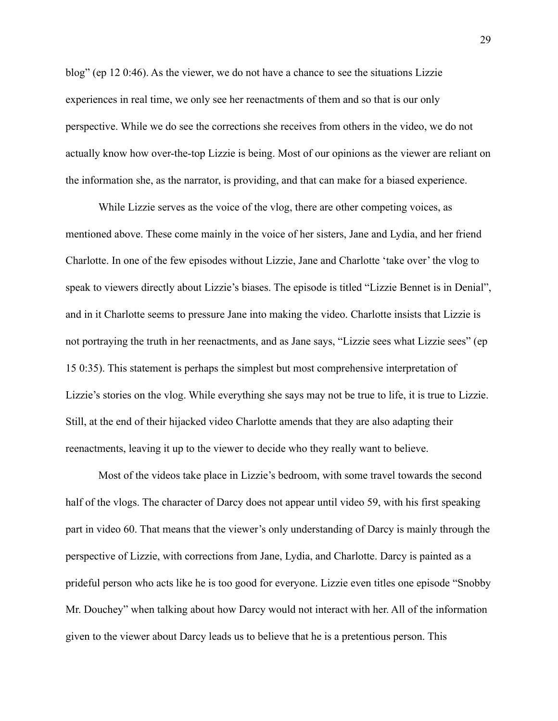blog" (ep 12 0:46). As the viewer, we do not have a chance to see the situations Lizzie experiences in real time, we only see her reenactments of them and so that is our only perspective. While we do see the corrections she receives from others in the video, we do not actually know how over-the-top Lizzie is being. Most of our opinions as the viewer are reliant on the information she, as the narrator, is providing, and that can make for a biased experience.

 While Lizzie serves as the voice of the vlog, there are other competing voices, as mentioned above. These come mainly in the voice of her sisters, Jane and Lydia, and her friend Charlotte. In one of the few episodes without Lizzie, Jane and Charlotte 'take over' the vlog to speak to viewers directly about Lizzie's biases. The episode is titled "Lizzie Bennet is in Denial", and in it Charlotte seems to pressure Jane into making the video. Charlotte insists that Lizzie is not portraying the truth in her reenactments, and as Jane says, "Lizzie sees what Lizzie sees" (ep 15 0:35). This statement is perhaps the simplest but most comprehensive interpretation of Lizzie's stories on the vlog. While everything she says may not be true to life, it is true to Lizzie. Still, at the end of their hijacked video Charlotte amends that they are also adapting their reenactments, leaving it up to the viewer to decide who they really want to believe.

 Most of the videos take place in Lizzie's bedroom, with some travel towards the second half of the vlogs. The character of Darcy does not appear until video 59, with his first speaking part in video 60. That means that the viewer's only understanding of Darcy is mainly through the perspective of Lizzie, with corrections from Jane, Lydia, and Charlotte. Darcy is painted as a prideful person who acts like he is too good for everyone. Lizzie even titles one episode "Snobby Mr. Douchey" when talking about how Darcy would not interact with her. All of the information given to the viewer about Darcy leads us to believe that he is a pretentious person. This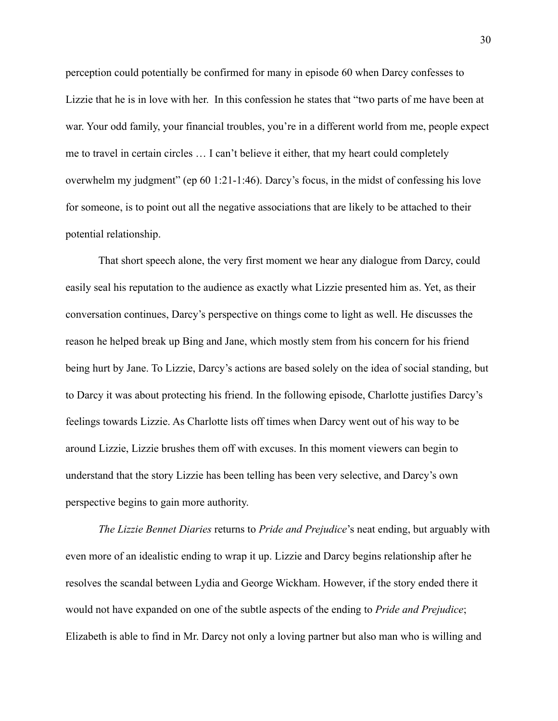perception could potentially be confirmed for many in episode 60 when Darcy confesses to Lizzie that he is in love with her. In this confession he states that "two parts of me have been at war. Your odd family, your financial troubles, you're in a different world from me, people expect me to travel in certain circles … I can't believe it either, that my heart could completely overwhelm my judgment" (ep 60 1:21-1:46). Darcy's focus, in the midst of confessing his love for someone, is to point out all the negative associations that are likely to be attached to their potential relationship.

 That short speech alone, the very first moment we hear any dialogue from Darcy, could easily seal his reputation to the audience as exactly what Lizzie presented him as. Yet, as their conversation continues, Darcy's perspective on things come to light as well. He discusses the reason he helped break up Bing and Jane, which mostly stem from his concern for his friend being hurt by Jane. To Lizzie, Darcy's actions are based solely on the idea of social standing, but to Darcy it was about protecting his friend. In the following episode, Charlotte justifies Darcy's feelings towards Lizzie. As Charlotte lists off times when Darcy went out of his way to be around Lizzie, Lizzie brushes them off with excuses. In this moment viewers can begin to understand that the story Lizzie has been telling has been very selective, and Darcy's own perspective begins to gain more authority.

*The Lizzie Bennet Diaries* returns to *Pride and Prejudice*'s neat ending, but arguably with even more of an idealistic ending to wrap it up. Lizzie and Darcy begins relationship after he resolves the scandal between Lydia and George Wickham. However, if the story ended there it would not have expanded on one of the subtle aspects of the ending to *Pride and Prejudice*; Elizabeth is able to find in Mr. Darcy not only a loving partner but also man who is willing and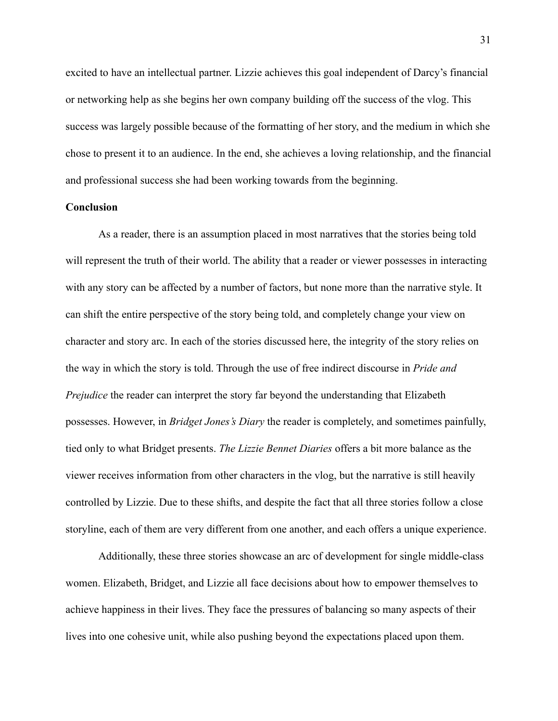excited to have an intellectual partner. Lizzie achieves this goal independent of Darcy's financial or networking help as she begins her own company building off the success of the vlog. This success was largely possible because of the formatting of her story, and the medium in which she chose to present it to an audience. In the end, she achieves a loving relationship, and the financial and professional success she had been working towards from the beginning.

## **Conclusion**

As a reader, there is an assumption placed in most narratives that the stories being told will represent the truth of their world. The ability that a reader or viewer possesses in interacting with any story can be affected by a number of factors, but none more than the narrative style. It can shift the entire perspective of the story being told, and completely change your view on character and story arc. In each of the stories discussed here, the integrity of the story relies on the way in which the story is told. Through the use of free indirect discourse in *Pride and Prejudice* the reader can interpret the story far beyond the understanding that Elizabeth possesses. However, in *Bridget Jones's Diary* the reader is completely, and sometimes painfully, tied only to what Bridget presents. *The Lizzie Bennet Diaries* offers a bit more balance as the viewer receives information from other characters in the vlog, but the narrative is still heavily controlled by Lizzie. Due to these shifts, and despite the fact that all three stories follow a close storyline, each of them are very different from one another, and each offers a unique experience.

 Additionally, these three stories showcase an arc of development for single middle-class women. Elizabeth, Bridget, and Lizzie all face decisions about how to empower themselves to achieve happiness in their lives. They face the pressures of balancing so many aspects of their lives into one cohesive unit, while also pushing beyond the expectations placed upon them.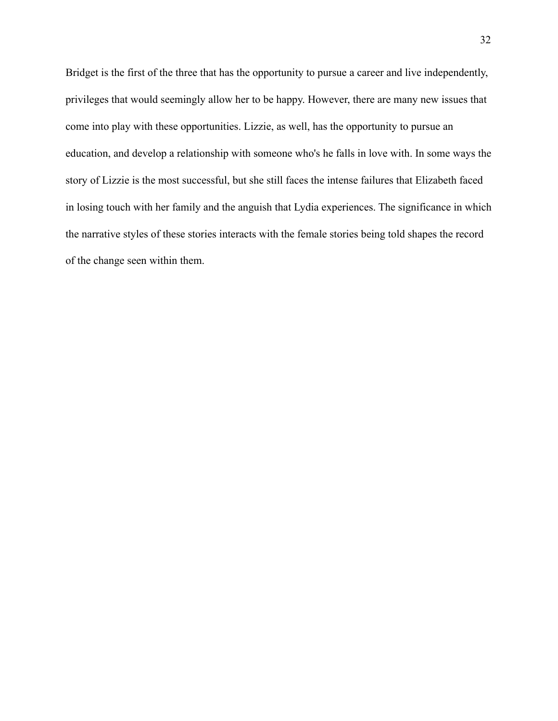Bridget is the first of the three that has the opportunity to pursue a career and live independently, privileges that would seemingly allow her to be happy. However, there are many new issues that come into play with these opportunities. Lizzie, as well, has the opportunity to pursue an education, and develop a relationship with someone who's he falls in love with. In some ways the story of Lizzie is the most successful, but she still faces the intense failures that Elizabeth faced in losing touch with her family and the anguish that Lydia experiences. The significance in which the narrative styles of these stories interacts with the female stories being told shapes the record of the change seen within them.